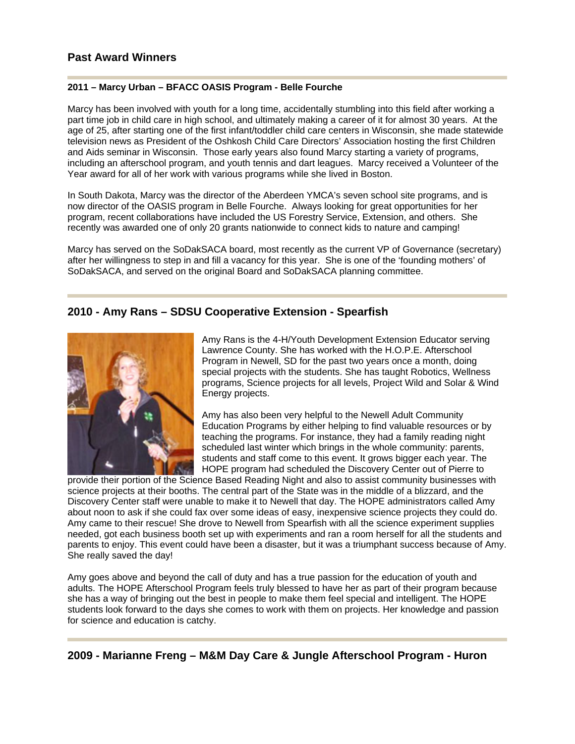#### **2011 – Marcy Urban – BFACC OASIS Program - Belle Fourche**

Marcy has been involved with youth for a long time, accidentally stumbling into this field after working a part time job in child care in high school, and ultimately making a career of it for almost 30 years. At the age of 25, after starting one of the first infant/toddler child care centers in Wisconsin, she made statewide television news as President of the Oshkosh Child Care Directors' Association hosting the first Children and Aids seminar in Wisconsin. Those early years also found Marcy starting a variety of programs, including an afterschool program, and youth tennis and dart leagues. Marcy received a Volunteer of the Year award for all of her work with various programs while she lived in Boston.

In South Dakota, Marcy was the director of the Aberdeen YMCA's seven school site programs, and is now director of the OASIS program in Belle Fourche. Always looking for great opportunities for her program, recent collaborations have included the US Forestry Service, Extension, and others. She recently was awarded one of only 20 grants nationwide to connect kids to nature and camping!

Marcy has served on the SoDakSACA board, most recently as the current VP of Governance (secretary) after her willingness to step in and fill a vacancy for this year. She is one of the 'founding mothers' of SoDakSACA, and served on the original Board and SoDakSACA planning committee.

### **2010 - Amy Rans – SDSU Cooperative Extension - Spearfish**



Amy Rans is the 4-H/Youth Development Extension Educator serving Lawrence County. She has worked with the H.O.P.E. Afterschool Program in Newell, SD for the past two years once a month, doing special projects with the students. She has taught Robotics, Wellness programs, Science projects for all levels, Project Wild and Solar & Wind Energy projects.

Amy has also been very helpful to the Newell Adult Community Education Programs by either helping to find valuable resources or by teaching the programs. For instance, they had a family reading night scheduled last winter which brings in the whole community: parents, students and staff come to this event. It grows bigger each year. The HOPE program had scheduled the Discovery Center out of Pierre to

provide their portion of the Science Based Reading Night and also to assist community businesses with science projects at their booths. The central part of the State was in the middle of a blizzard, and the Discovery Center staff were unable to make it to Newell that day. The HOPE administrators called Amy about noon to ask if she could fax over some ideas of easy, inexpensive science projects they could do. Amy came to their rescue! She drove to Newell from Spearfish with all the science experiment supplies needed, got each business booth set up with experiments and ran a room herself for all the students and parents to enjoy. This event could have been a disaster, but it was a triumphant success because of Amy. She really saved the day!

Amy goes above and beyond the call of duty and has a true passion for the education of youth and adults. The HOPE Afterschool Program feels truly blessed to have her as part of their program because she has a way of bringing out the best in people to make them feel special and intelligent. The HOPE students look forward to the days she comes to work with them on projects. Her knowledge and passion for science and education is catchy.

**2009 - Marianne Freng – M&M Day Care & Jungle Afterschool Program - Huron**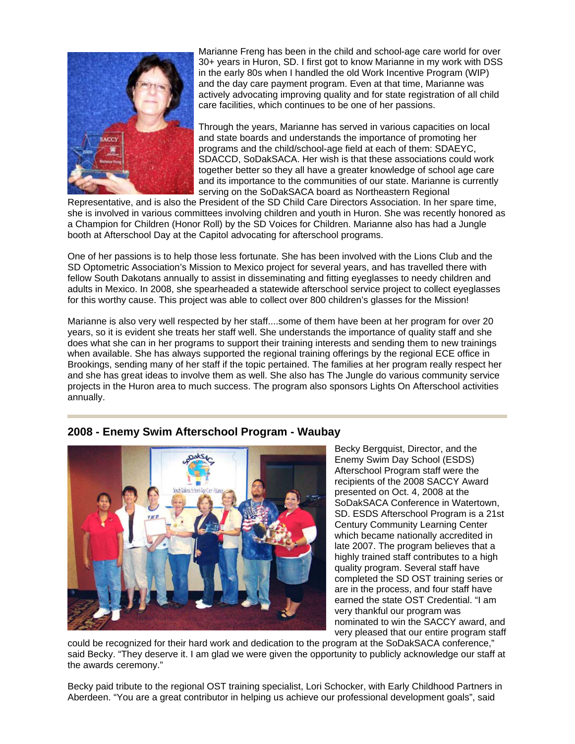

Marianne Freng has been in the child and school-age care world for over 30+ years in Huron, SD. I first got to know Marianne in my work with DSS in the early 80s when I handled the old Work Incentive Program (WIP) and the day care payment program. Even at that time, Marianne was actively advocating improving quality and for state registration of all child care facilities, which continues to be one of her passions.

Through the years, Marianne has served in various capacities on local and state boards and understands the importance of promoting her programs and the child/school-age field at each of them: SDAEYC, SDACCD, SoDakSACA. Her wish is that these associations could work together better so they all have a greater knowledge of school age care and its importance to the communities of our state. Marianne is currently serving on the SoDakSACA board as Northeastern Regional

Representative, and is also the President of the SD Child Care Directors Association. In her spare time, she is involved in various committees involving children and youth in Huron. She was recently honored as a Champion for Children (Honor Roll) by the SD Voices for Children. Marianne also has had a Jungle booth at Afterschool Day at the Capitol advocating for afterschool programs.

One of her passions is to help those less fortunate. She has been involved with the Lions Club and the SD Optometric Association's Mission to Mexico project for several years, and has travelled there with fellow South Dakotans annually to assist in disseminating and fitting eyeglasses to needy children and adults in Mexico. In 2008, she spearheaded a statewide afterschool service project to collect eyeglasses for this worthy cause. This project was able to collect over 800 children's glasses for the Mission!

Marianne is also very well respected by her staff....some of them have been at her program for over 20 years, so it is evident she treats her staff well. She understands the importance of quality staff and she does what she can in her programs to support their training interests and sending them to new trainings when available. She has always supported the regional training offerings by the regional ECE office in Brookings, sending many of her staff if the topic pertained. The families at her program really respect her and she has great ideas to involve them as well. She also has The Jungle do various community service projects in the Huron area to much success. The program also sponsors Lights On Afterschool activities annually.



**2008 - Enemy Swim Afterschool Program - Waubay**

Becky Bergquist, Director, and the Enemy Swim Day School (ESDS) Afterschool Program staff were the recipients of the 2008 SACCY Award presented on Oct. 4, 2008 at the SoDakSACA Conference in Watertown, SD. ESDS Afterschool Program is a 21st Century Community Learning Center which became nationally accredited in late 2007. The program believes that a highly trained staff contributes to a high quality program. Several staff have completed the SD OST training series or are in the process, and four staff have earned the state OST Credential. "I am very thankful our program was nominated to win the SACCY award, and very pleased that our entire program staff

could be recognized for their hard work and dedication to the program at the SoDakSACA conference," said Becky. "They deserve it. I am glad we were given the opportunity to publicly acknowledge our staff at the awards ceremony."

Becky paid tribute to the regional OST training specialist, Lori Schocker, with Early Childhood Partners in Aberdeen. "You are a great contributor in helping us achieve our professional development goals", said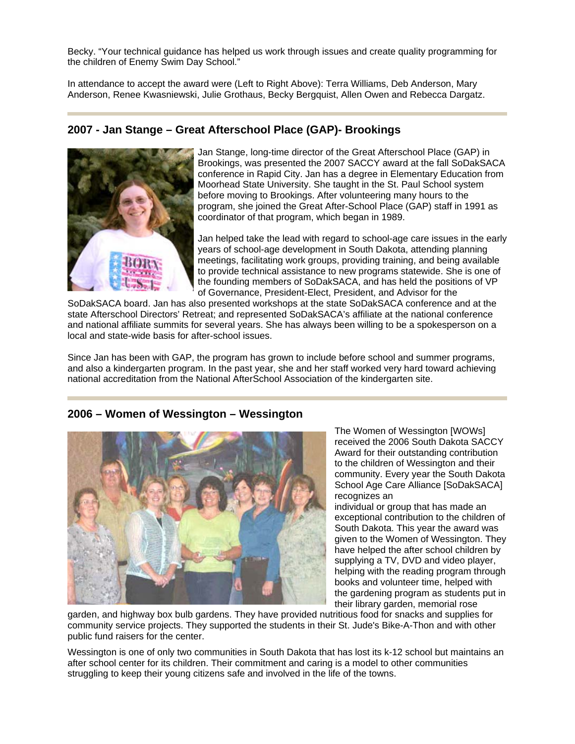Becky. "Your technical guidance has helped us work through issues and create quality programming for the children of Enemy Swim Day School."

In attendance to accept the award were (Left to Right Above): Terra Williams, Deb Anderson, Mary Anderson, Renee Kwasniewski, Julie Grothaus, Becky Bergquist, Allen Owen and Rebecca Dargatz.

## **2007 - Jan Stange – Great Afterschool Place (GAP)- Brookings**



Jan Stange, long-time director of the Great Afterschool Place (GAP) in Brookings, was presented the 2007 SACCY award at the fall SoDakSACA conference in Rapid City. Jan has a degree in Elementary Education from Moorhead State University. She taught in the St. Paul School system before moving to Brookings. After volunteering many hours to the program, she joined the Great After-School Place (GAP) staff in 1991 as coordinator of that program, which began in 1989.

Jan helped take the lead with regard to school-age care issues in the early years of school-age development in South Dakota, attending planning meetings, facilitating work groups, providing training, and being available to provide technical assistance to new programs statewide. She is one of the founding members of SoDakSACA, and has held the positions of VP of Governance, President-Elect, President, and Advisor for the

SoDakSACA board. Jan has also presented workshops at the state SoDakSACA conference and at the state Afterschool Directors' Retreat; and represented SoDakSACA's affiliate at the national conference and national affiliate summits for several years. She has always been willing to be a spokesperson on a local and state-wide basis for after-school issues.

Since Jan has been with GAP, the program has grown to include before school and summer programs, and also a kindergarten program. In the past year, she and her staff worked very hard toward achieving national accreditation from the National AfterSchool Association of the kindergarten site.

# **2006 – Women of Wessington – Wessington**



The Women of Wessington [WOWs] received the 2006 South Dakota SACCY Award for their outstanding contribution to the children of Wessington and their community. Every year the South Dakota School Age Care Alliance [SoDakSACA] recognizes an

individual or group that has made an exceptional contribution to the children of South Dakota. This year the award was given to the Women of Wessington. They have helped the after school children by supplying a TV, DVD and video player, helping with the reading program through books and volunteer time, helped with the gardening program as students put in their library garden, memorial rose

garden, and highway box bulb gardens. They have provided nutritious food for snacks and supplies for community service projects. They supported the students in their St. Jude's Bike-A-Thon and with other public fund raisers for the center.

Wessington is one of only two communities in South Dakota that has lost its k-12 school but maintains an after school center for its children. Their commitment and caring is a model to other communities struggling to keep their young citizens safe and involved in the life of the towns.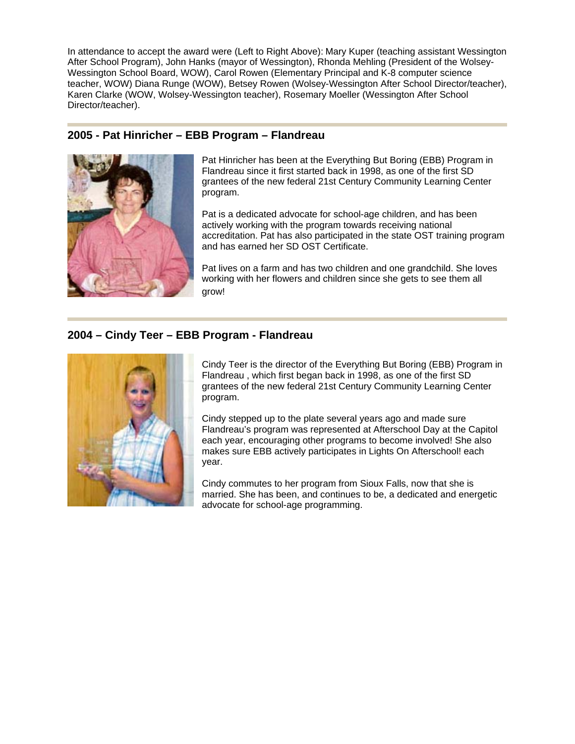In attendance to accept the award were (Left to Right Above): Mary Kuper (teaching assistant Wessington After School Program), John Hanks (mayor of Wessington), Rhonda Mehling (President of the Wolsey-Wessington School Board, WOW), Carol Rowen (Elementary Principal and K-8 computer science teacher, WOW) Diana Runge (WOW), Betsey Rowen (Wolsey-Wessington After School Director/teacher), Karen Clarke (WOW, Wolsey-Wessington teacher), Rosemary Moeller (Wessington After School Director/teacher).

## **2005 - Pat Hinricher – EBB Program – Flandreau**



Pat Hinricher has been at the Everything But Boring (EBB) Program in Flandreau since it first started back in 1998, as one of the first SD grantees of the new federal 21st Century Community Learning Center program.

Pat is a dedicated advocate for school-age children, and has been actively working with the program towards receiving national accreditation. Pat has also participated in the state OST training program and has earned her SD OST Certificate.

Pat lives on a farm and has two children and one grandchild. She loves working with her flowers and children since she gets to see them all grow!

# **2004 – Cindy Teer – EBB Program - Flandreau**



Cindy Teer is the director of the Everything But Boring (EBB) Program in Flandreau , which first began back in 1998, as one of the first SD grantees of the new federal 21st Century Community Learning Center program.

Cindy stepped up to the plate several years ago and made sure Flandreau's program was represented at Afterschool Day at the Capitol each year, encouraging other programs to become involved! She also makes sure EBB actively participates in Lights On Afterschool! each year.

Cindy commutes to her program from Sioux Falls, now that she is married. She has been, and continues to be, a dedicated and energetic advocate for school-age programming.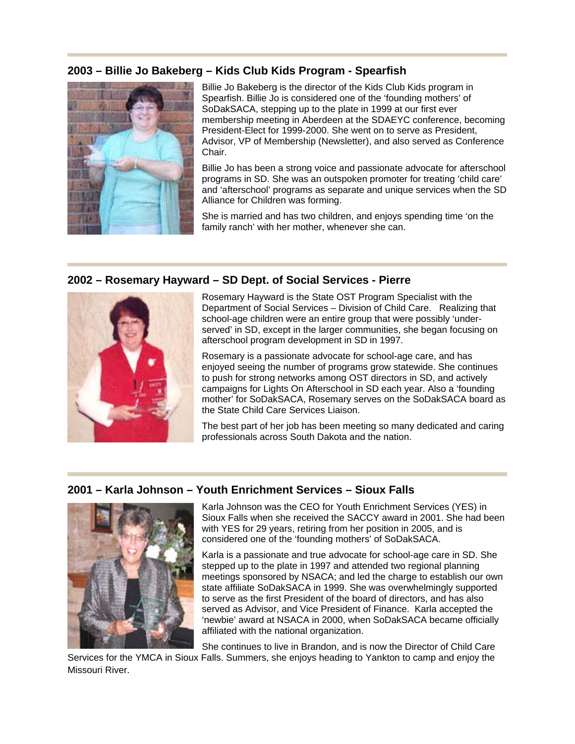## **2003 – Billie Jo Bakeberg – Kids Club Kids Program - Spearfish**



Billie Jo Bakeberg is the director of the Kids Club Kids program in Spearfish. Billie Jo is considered one of the 'founding mothers' of SoDakSACA, stepping up to the plate in 1999 at our first ever membership meeting in Aberdeen at the SDAEYC conference, becoming President-Elect for 1999-2000. She went on to serve as President, Advisor, VP of Membership (Newsletter), and also served as Conference Chair.

Billie Jo has been a strong voice and passionate advocate for afterschool programs in SD. She was an outspoken promoter for treating 'child care' and 'afterschool' programs as separate and unique services when the SD Alliance for Children was forming.

She is married and has two children, and enjoys spending time 'on the family ranch' with her mother, whenever she can.

#### **2002 – Rosemary Hayward – SD Dept. of Social Services - Pierre**



Rosemary Hayward is the State OST Program Specialist with the Department of Social Services – Division of Child Care. Realizing that school-age children were an entire group that were possibly 'underserved' in SD, except in the larger communities, she began focusing on afterschool program development in SD in 1997.

Rosemary is a passionate advocate for school-age care, and has enjoyed seeing the number of programs grow statewide. She continues to push for strong networks among OST directors in SD, and actively campaigns for Lights On Afterschool in SD each year. Also a 'founding mother' for SoDakSACA, Rosemary serves on the SoDakSACA board as the State Child Care Services Liaison.

The best part of her job has been meeting so many dedicated and caring professionals across South Dakota and the nation.

#### **2001 – Karla Johnson – Youth Enrichment Services – Sioux Falls**



Karla Johnson was the CEO for Youth Enrichment Services (YES) in Sioux Falls when she received the SACCY award in 2001. She had been with YES for 29 years, retiring from her position in 2005, and is considered one of the 'founding mothers' of SoDakSACA.

Karla is a passionate and true advocate for school-age care in SD. She stepped up to the plate in 1997 and attended two regional planning meetings sponsored by NSACA; and led the charge to establish our own state affiliate SoDakSACA in 1999. She was overwhelmingly supported to serve as the first President of the board of directors, and has also served as Advisor, and Vice President of Finance. Karla accepted the 'newbie' award at NSACA in 2000, when SoDakSACA became officially affiliated with the national organization.

She continues to live in Brandon, and is now the Director of Child Care

Services for the YMCA in Sioux Falls. Summers, she enjoys heading to Yankton to camp and enjoy the Missouri River.